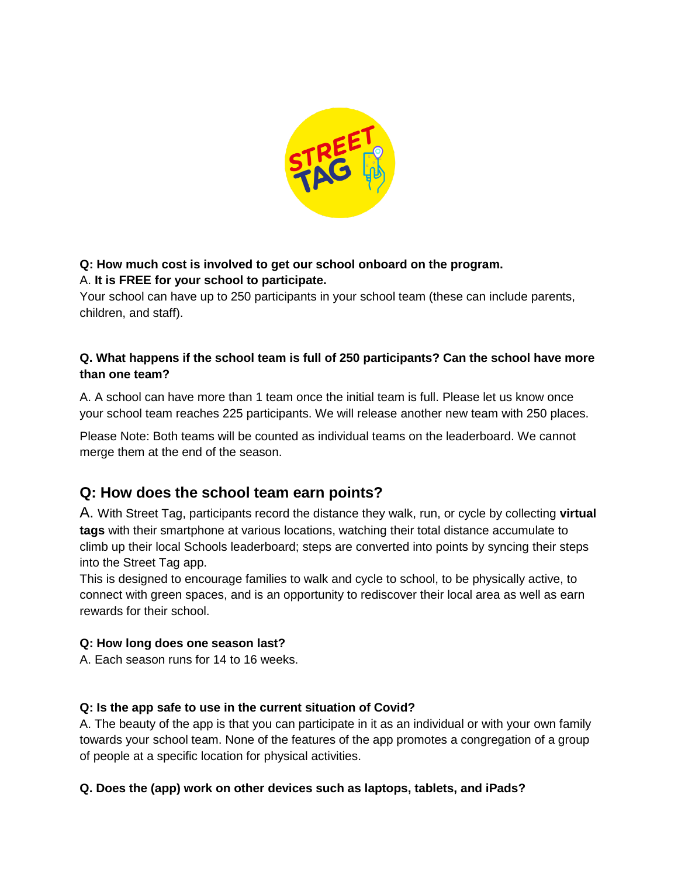

# **Q: How much cost is involved to get our school onboard on the program.** A. **It is FREE for your school to participate.**

Your school can have up to 250 participants in your school team (these can include parents, children, and staff).

# **Q. What happens if the school team is full of 250 participants? Can the school have more than one team?**

A. A school can have more than 1 team once the initial team is full. Please let us know once your school team reaches 225 participants. We will release another new team with 250 places.

Please Note: Both teams will be counted as individual teams on the leaderboard. We cannot merge them at the end of the season.

# **Q: How does the school team earn points?**

A. With Street Tag, participants record the distance they walk, run, or cycle by collecting **virtual tags** with their smartphone at various locations, watching their total distance accumulate to climb up their local Schools leaderboard; steps are converted into points by syncing their steps into the Street Tag app.

This is designed to encourage families to walk and cycle to school, to be physically active, to connect with green spaces, and is an opportunity to rediscover their local area as well as earn rewards for their school.

### **Q: How long does one season last?**

A. Each season runs for 14 to 16 weeks.

# **Q: Is the app safe to use in the current situation of Covid?**

A. The beauty of the app is that you can participate in it as an individual or with your own family towards your school team. None of the features of the app promotes a congregation of a group of people at a specific location for physical activities.

### **Q. Does the (app) work on other devices such as laptops, tablets, and iPads?**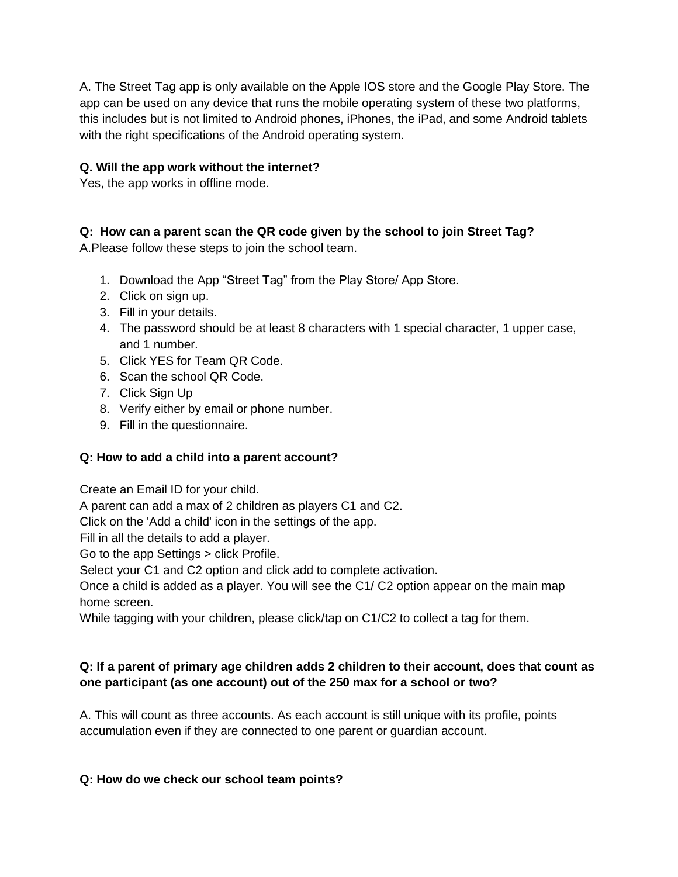A. The Street Tag app is only available on the Apple IOS store and the Google Play Store. The app can be used on any device that runs the mobile operating system of these two platforms, this includes but is not limited to Android phones, iPhones, the iPad, and some Android tablets with the right specifications of the Android operating system.

## **Q. Will the app work without the internet?**

Yes, the app works in offline mode.

### **Q: How can a parent scan the QR code given by the school to join Street Tag?**

A.Please follow these steps to join the school team.

- 1. Download the App "Street Tag" from the Play Store/ App Store.
- 2. Click on sign up.
- 3. Fill in your details.
- 4. The password should be at least 8 characters with 1 special character, 1 upper case, and 1 number.
- 5. Click YES for Team QR Code.
- 6. Scan the school QR Code.
- 7. Click Sign Up
- 8. Verify either by email or phone number.
- 9. Fill in the questionnaire.

#### **Q: How to add a child into a parent account?**

Create an Email ID for your child.

A parent can add a max of 2 children as players C1 and C2.

Click on the 'Add a child' icon in the settings of the app.

Fill in all the details to add a player.

Go to the app Settings > click Profile.

Select your C1 and C2 option and click add to complete activation.

Once a child is added as a player. You will see the C1/ C2 option appear on the main map home screen.

While tagging with your children, please click/tap on C1/C2 to collect a tag for them.

### **Q: If a parent of primary age children adds 2 children to their account, does that count as one participant (as one account) out of the 250 max for a school or two?**

A. This will count as three accounts. As each account is still unique with its profile, points accumulation even if they are connected to one parent or guardian account.

#### **Q: How do we check our school team points?**